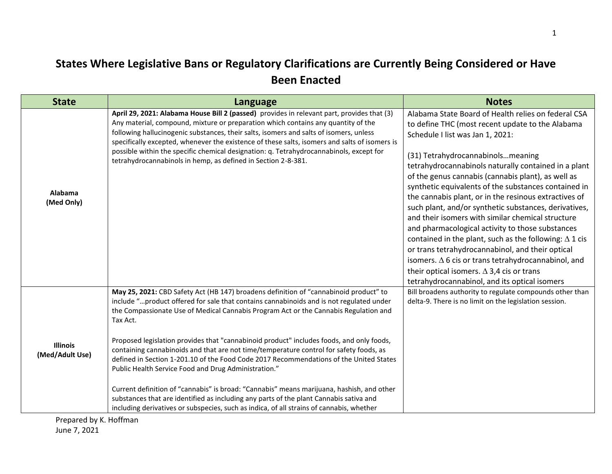## **States Where Legislative Bans or Regulatory Clarifications are Currently Being Considered or Have Been Enacted**

| <b>State</b>                       | Language                                                                                                                                                                                                                                                                                                                                                                                                                                                                                                                                                                                                                                                                                                                                                                                                                                                                                                        | <b>Notes</b>                                                                                                                                                                                                                                                                                                                                                                                                                                                                                                                                                                                                                                                                                                                                                                                                                                                              |
|------------------------------------|-----------------------------------------------------------------------------------------------------------------------------------------------------------------------------------------------------------------------------------------------------------------------------------------------------------------------------------------------------------------------------------------------------------------------------------------------------------------------------------------------------------------------------------------------------------------------------------------------------------------------------------------------------------------------------------------------------------------------------------------------------------------------------------------------------------------------------------------------------------------------------------------------------------------|---------------------------------------------------------------------------------------------------------------------------------------------------------------------------------------------------------------------------------------------------------------------------------------------------------------------------------------------------------------------------------------------------------------------------------------------------------------------------------------------------------------------------------------------------------------------------------------------------------------------------------------------------------------------------------------------------------------------------------------------------------------------------------------------------------------------------------------------------------------------------|
| Alabama<br>(Med Only)              | April 29, 2021: Alabama House Bill 2 (passed) provides in relevant part, provides that (3)<br>Any material, compound, mixture or preparation which contains any quantity of the<br>following hallucinogenic substances, their salts, isomers and salts of isomers, unless<br>specifically excepted, whenever the existence of these salts, isomers and salts of isomers is<br>possible within the specific chemical designation: q. Tetrahydrocannabinols, except for<br>tetrahydrocannabinols in hemp, as defined in Section 2-8-381.                                                                                                                                                                                                                                                                                                                                                                          | Alabama State Board of Health relies on federal CSA<br>to define THC (most recent update to the Alabama<br>Schedule I list was Jan 1, 2021:<br>(31) Tetrahydrocannabinolsmeaning<br>tetrahydrocannabinols naturally contained in a plant<br>of the genus cannabis (cannabis plant), as well as<br>synthetic equivalents of the substances contained in<br>the cannabis plant, or in the resinous extractives of<br>such plant, and/or synthetic substances, derivatives,<br>and their isomers with similar chemical structure<br>and pharmacological activity to those substances<br>contained in the plant, such as the following: $\Delta$ 1 cis<br>or trans tetrahydrocannabinol, and their optical<br>isomers. $\Delta$ 6 cis or trans tetrahydrocannabinol, and<br>their optical isomers. $\Delta$ 3,4 cis or trans<br>tetrahydrocannabinol, and its optical isomers |
| <b>Illinois</b><br>(Med/Adult Use) | May 25, 2021: CBD Safety Act (HB 147) broadens definition of "cannabinoid product" to<br>include "product offered for sale that contains cannabinoids and is not regulated under<br>the Compassionate Use of Medical Cannabis Program Act or the Cannabis Regulation and<br>Tax Act.<br>Proposed legislation provides that "cannabinoid product" includes foods, and only foods,<br>containing cannabinoids and that are not time/temperature control for safety foods, as<br>defined in Section 1-201.10 of the Food Code 2017 Recommendations of the United States<br>Public Health Service Food and Drug Administration."<br>Current definition of "cannabis" is broad: "Cannabis" means marijuana, hashish, and other<br>substances that are identified as including any parts of the plant Cannabis sativa and<br>including derivatives or subspecies, such as indica, of all strains of cannabis, whether | Bill broadens authority to regulate compounds other than<br>delta-9. There is no limit on the legislation session.                                                                                                                                                                                                                                                                                                                                                                                                                                                                                                                                                                                                                                                                                                                                                        |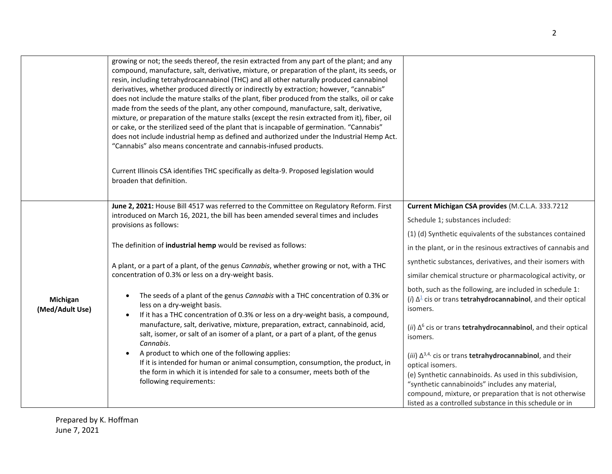|                             | growing or not; the seeds thereof, the resin extracted from any part of the plant; and any<br>compound, manufacture, salt, derivative, mixture, or preparation of the plant, its seeds, or<br>resin, including tetrahydrocannabinol (THC) and all other naturally produced cannabinol<br>derivatives, whether produced directly or indirectly by extraction; however, "cannabis"<br>does not include the mature stalks of the plant, fiber produced from the stalks, oil or cake<br>made from the seeds of the plant, any other compound, manufacture, salt, derivative,<br>mixture, or preparation of the mature stalks (except the resin extracted from it), fiber, oil<br>or cake, or the sterilized seed of the plant that is incapable of germination. "Cannabis"<br>does not include industrial hemp as defined and authorized under the Industrial Hemp Act.<br>"Cannabis" also means concentrate and cannabis-infused products.<br>Current Illinois CSA identifies THC specifically as delta-9. Proposed legislation would<br>broaden that definition. |                                                                                                                                                                                                                                                                                                                                      |
|-----------------------------|----------------------------------------------------------------------------------------------------------------------------------------------------------------------------------------------------------------------------------------------------------------------------------------------------------------------------------------------------------------------------------------------------------------------------------------------------------------------------------------------------------------------------------------------------------------------------------------------------------------------------------------------------------------------------------------------------------------------------------------------------------------------------------------------------------------------------------------------------------------------------------------------------------------------------------------------------------------------------------------------------------------------------------------------------------------|--------------------------------------------------------------------------------------------------------------------------------------------------------------------------------------------------------------------------------------------------------------------------------------------------------------------------------------|
|                             | June 2, 2021: House Bill 4517 was referred to the Committee on Regulatory Reform. First<br>introduced on March 16, 2021, the bill has been amended several times and includes<br>provisions as follows:                                                                                                                                                                                                                                                                                                                                                                                                                                                                                                                                                                                                                                                                                                                                                                                                                                                        | Current Michigan CSA provides (M.C.L.A. 333.7212<br>Schedule 1; substances included:<br>(1) (d) Synthetic equivalents of the substances contained                                                                                                                                                                                    |
| Michigan<br>(Med/Adult Use) | The definition of industrial hemp would be revised as follows:                                                                                                                                                                                                                                                                                                                                                                                                                                                                                                                                                                                                                                                                                                                                                                                                                                                                                                                                                                                                 | in the plant, or in the resinous extractives of cannabis and                                                                                                                                                                                                                                                                         |
|                             | A plant, or a part of a plant, of the genus Cannabis, whether growing or not, with a THC<br>concentration of 0.3% or less on a dry-weight basis.                                                                                                                                                                                                                                                                                                                                                                                                                                                                                                                                                                                                                                                                                                                                                                                                                                                                                                               | synthetic substances, derivatives, and their isomers with<br>similar chemical structure or pharmacological activity, or                                                                                                                                                                                                              |
|                             | The seeds of a plant of the genus Cannabis with a THC concentration of 0.3% or<br>$\bullet$<br>less on a dry-weight basis.<br>If it has a THC concentration of 0.3% or less on a dry-weight basis, a compound,                                                                                                                                                                                                                                                                                                                                                                                                                                                                                                                                                                                                                                                                                                                                                                                                                                                 | both, such as the following, are included in schedule 1:<br>(i) $\Delta^{\perp}$ cis or trans <b>tetrahydrocannabinol</b> , and their optical<br>isomers.                                                                                                                                                                            |
|                             | manufacture, salt, derivative, mixture, preparation, extract, cannabinoid, acid,<br>salt, isomer, or salt of an isomer of a plant, or a part of a plant, of the genus<br>Cannabis.                                                                                                                                                                                                                                                                                                                                                                                                                                                                                                                                                                                                                                                                                                                                                                                                                                                                             | (ii) $\Delta^6$ cis or trans <b>tetrahydrocannabinol</b> , and their optical<br>isomers.                                                                                                                                                                                                                                             |
|                             | A product to which one of the following applies:<br>If it is intended for human or animal consumption, consumption, the product, in<br>the form in which it is intended for sale to a consumer, meets both of the<br>following requirements:                                                                                                                                                                                                                                                                                                                                                                                                                                                                                                                                                                                                                                                                                                                                                                                                                   | (iii) $\Delta^{3,4}$ , cis or trans <b>tetrahydrocannabinol</b> , and their<br>optical isomers.<br>(e) Synthetic cannabinoids. As used in this subdivision,<br>"synthetic cannabinoids" includes any material,<br>compound, mixture, or preparation that is not otherwise<br>listed as a controlled substance in this schedule or in |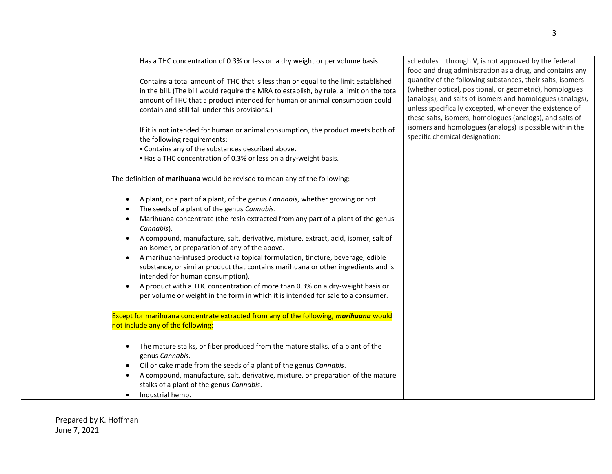| Has a THC concentration of 0.3% or less on a dry weight or per volume basis.                                                                                            | schedules II through V, is not approved by the federal<br>food and drug administration as a drug, and contains any<br>quantity of the following substances, their salts, isomers |
|-------------------------------------------------------------------------------------------------------------------------------------------------------------------------|----------------------------------------------------------------------------------------------------------------------------------------------------------------------------------|
| Contains a total amount of THC that is less than or equal to the limit established                                                                                      | (whether optical, positional, or geometric), homologues                                                                                                                          |
| in the bill. (The bill would require the MRA to establish, by rule, a limit on the total<br>amount of THC that a product intended for human or animal consumption could | (analogs), and salts of isomers and homologues (analogs),                                                                                                                        |
| contain and still fall under this provisions.)                                                                                                                          | unless specifically excepted, whenever the existence of<br>these salts, isomers, homologues (analogs), and salts of                                                              |
| If it is not intended for human or animal consumption, the product meets both of                                                                                        | isomers and homologues (analogs) is possible within the                                                                                                                          |
| the following requirements:                                                                                                                                             | specific chemical designation:                                                                                                                                                   |
| . Contains any of the substances described above.                                                                                                                       |                                                                                                                                                                                  |
| • Has a THC concentration of 0.3% or less on a dry-weight basis.                                                                                                        |                                                                                                                                                                                  |
| The definition of marihuana would be revised to mean any of the following:                                                                                              |                                                                                                                                                                                  |
| A plant, or a part of a plant, of the genus Cannabis, whether growing or not.                                                                                           |                                                                                                                                                                                  |
| The seeds of a plant of the genus Cannabis.                                                                                                                             |                                                                                                                                                                                  |
| Marihuana concentrate (the resin extracted from any part of a plant of the genus<br>Cannabis).                                                                          |                                                                                                                                                                                  |
| A compound, manufacture, salt, derivative, mixture, extract, acid, isomer, salt of<br>an isomer, or preparation of any of the above.                                    |                                                                                                                                                                                  |
| A marihuana-infused product (a topical formulation, tincture, beverage, edible<br>substance, or similar product that contains marihuana or other ingredients and is     |                                                                                                                                                                                  |
| intended for human consumption).<br>A product with a THC concentration of more than 0.3% on a dry-weight basis or                                                       |                                                                                                                                                                                  |
| per volume or weight in the form in which it is intended for sale to a consumer.                                                                                        |                                                                                                                                                                                  |
| Except for marihuana concentrate extracted from any of the following, marihuana would                                                                                   |                                                                                                                                                                                  |
| not include any of the following:                                                                                                                                       |                                                                                                                                                                                  |
| The mature stalks, or fiber produced from the mature stalks, of a plant of the                                                                                          |                                                                                                                                                                                  |
| genus Cannabis.                                                                                                                                                         |                                                                                                                                                                                  |
| Oil or cake made from the seeds of a plant of the genus Cannabis.                                                                                                       |                                                                                                                                                                                  |
| A compound, manufacture, salt, derivative, mixture, or preparation of the mature<br>stalks of a plant of the genus Cannabis.                                            |                                                                                                                                                                                  |
| Industrial hemp.                                                                                                                                                        |                                                                                                                                                                                  |
|                                                                                                                                                                         |                                                                                                                                                                                  |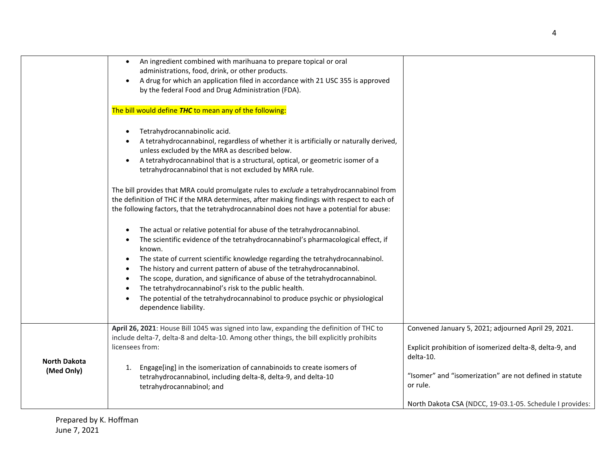|                     | An ingredient combined with marihuana to prepare topical or oral<br>$\bullet$<br>administrations, food, drink, or other products.<br>A drug for which an application filed in accordance with 21 USC 355 is approved<br>by the federal Food and Drug Administration (FDA).                                                                                                                                                                                                                                                                                                                     |                                                                                                                              |
|---------------------|------------------------------------------------------------------------------------------------------------------------------------------------------------------------------------------------------------------------------------------------------------------------------------------------------------------------------------------------------------------------------------------------------------------------------------------------------------------------------------------------------------------------------------------------------------------------------------------------|------------------------------------------------------------------------------------------------------------------------------|
|                     | The bill would define THC to mean any of the following:                                                                                                                                                                                                                                                                                                                                                                                                                                                                                                                                        |                                                                                                                              |
|                     | Tetrahydrocannabinolic acid.<br>A tetrahydrocannabinol, regardless of whether it is artificially or naturally derived,<br>unless excluded by the MRA as described below.<br>A tetrahydrocannabinol that is a structural, optical, or geometric isomer of a<br>tetrahydrocannabinol that is not excluded by MRA rule.                                                                                                                                                                                                                                                                           |                                                                                                                              |
|                     | The bill provides that MRA could promulgate rules to exclude a tetrahydrocannabinol from<br>the definition of THC if the MRA determines, after making findings with respect to each of<br>the following factors, that the tetrahydrocannabinol does not have a potential for abuse:                                                                                                                                                                                                                                                                                                            |                                                                                                                              |
|                     | The actual or relative potential for abuse of the tetrahydrocannabinol.<br>The scientific evidence of the tetrahydrocannabinol's pharmacological effect, if<br>known.<br>The state of current scientific knowledge regarding the tetrahydrocannabinol.<br>$\bullet$<br>The history and current pattern of abuse of the tetrahydrocannabinol.<br>The scope, duration, and significance of abuse of the tetrahydrocannabinol.<br>The tetrahydrocannabinol's risk to the public health.<br>The potential of the tetrahydrocannabinol to produce psychic or physiological<br>dependence liability. |                                                                                                                              |
| <b>North Dakota</b> | April 26, 2021: House Bill 1045 was signed into law, expanding the definition of THC to<br>include delta-7, delta-8 and delta-10. Among other things, the bill explicitly prohibits<br>licensees from:                                                                                                                                                                                                                                                                                                                                                                                         | Convened January 5, 2021; adjourned April 29, 2021.<br>Explicit prohibition of isomerized delta-8, delta-9, and<br>delta-10. |
| (Med Only)          | Engage[ing] in the isomerization of cannabinoids to create isomers of<br>1.<br>tetrahydrocannabinol, including delta-8, delta-9, and delta-10<br>tetrahydrocannabinol; and                                                                                                                                                                                                                                                                                                                                                                                                                     | "Isomer" and "isomerization" are not defined in statute<br>or rule.                                                          |
|                     |                                                                                                                                                                                                                                                                                                                                                                                                                                                                                                                                                                                                | North Dakota CSA (NDCC, 19-03.1-05. Schedule I provides:                                                                     |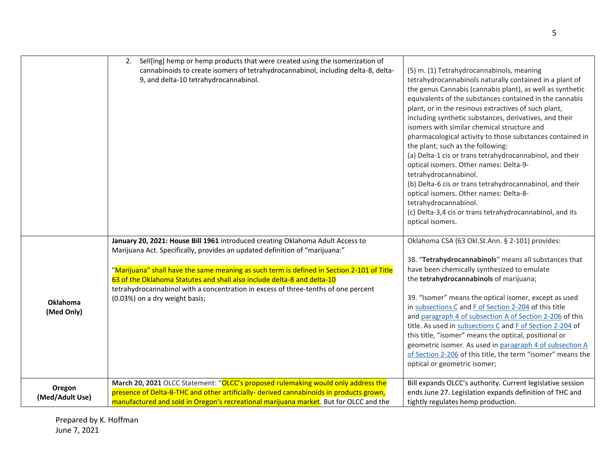|                 | Sell[ing] hemp or hemp products that were created using the isomerization of<br>2.                                                                            |                                                             |
|-----------------|---------------------------------------------------------------------------------------------------------------------------------------------------------------|-------------------------------------------------------------|
|                 | cannabinoids to create isomers of tetrahydrocannabinol, including delta-8, delta-                                                                             | (5) m. (1) Tetrahydrocannabinols, meaning                   |
|                 | 9, and delta-10 tetrahydrocannabinol.                                                                                                                         | tetrahydrocannabinols naturally contained in a plant of     |
|                 |                                                                                                                                                               | the genus Cannabis (cannabis plant), as well as synthetic   |
|                 |                                                                                                                                                               | equivalents of the substances contained in the cannabis     |
|                 |                                                                                                                                                               | plant, or in the resinous extractives of such plant,        |
|                 |                                                                                                                                                               | including synthetic substances, derivatives, and their      |
|                 |                                                                                                                                                               | isomers with similar chemical structure and                 |
|                 |                                                                                                                                                               |                                                             |
|                 |                                                                                                                                                               | pharmacological activity to those substances contained in   |
|                 |                                                                                                                                                               | the plant; such as the following:                           |
|                 |                                                                                                                                                               | (a) Delta-1 cis or trans tetrahydrocannabinol, and their    |
|                 |                                                                                                                                                               | optical isomers. Other names: Delta-9-                      |
|                 |                                                                                                                                                               | tetrahydrocannabinol.                                       |
|                 |                                                                                                                                                               | (b) Delta-6 cis or trans tetrahydrocannabinol, and their    |
|                 |                                                                                                                                                               | optical isomers. Other names: Delta-8-                      |
|                 |                                                                                                                                                               | tetrahydrocannabinol.                                       |
|                 |                                                                                                                                                               | (c) Delta-3,4 cis or trans tetrahydrocannabinol, and its    |
|                 |                                                                                                                                                               | optical isomers.                                            |
|                 | January 20, 2021: House Bill 1961 introduced creating Oklahoma Adult Access to<br>Marijuana Act. Specifically, provides an updated definition of "marijuana:" | Oklahoma CSA (63 Okl.St.Ann. § 2-101) provides:             |
|                 |                                                                                                                                                               | 38. "Tetrahydrocannabinols" means all substances that       |
|                 | "Marijuana" shall have the same meaning as such term is defined in Section 2-101 of Title                                                                     | have been chemically synthesized to emulate                 |
|                 | 63 of the Oklahoma Statutes and shall also include delta-8 and delta-10                                                                                       | the tetrahydrocannabinols of marijuana;                     |
|                 | tetrahydrocannabinol with a concentration in excess of three-tenths of one percent                                                                            |                                                             |
| <b>Oklahoma</b> | (0.03%) on a dry weight basis;                                                                                                                                | 39. "Isomer" means the optical isomer, except as used       |
| (Med Only)      |                                                                                                                                                               | in subsections C and F of Section 2-204 of this title       |
|                 |                                                                                                                                                               | and paragraph 4 of subsection A of Section 2-206 of this    |
|                 |                                                                                                                                                               | title. As used in subsections C and F of Section 2-204 of   |
|                 |                                                                                                                                                               | this title, "isomer" means the optical, positional or       |
|                 |                                                                                                                                                               | geometric isomer. As used in paragraph 4 of subsection A    |
|                 |                                                                                                                                                               | of Section 2-206 of this title, the term "isomer" means the |
|                 |                                                                                                                                                               | optical or geometric isomer;                                |
| Oregon          | March 20, 2021 OLCC Statement: "OLCC's proposed rulemaking would only address the                                                                             | Bill expands OLCC's authority. Current legislative session  |
| (Med/Adult Use) | presence of Delta-8-THC and other artificially- derived cannabinoids in products grown,                                                                       | ends June 27. Legislation expands definition of THC and     |
|                 | manufactured and sold in Oregon's recreational marijuana market. But for OLCC and the                                                                         | tightly regulates hemp production.                          |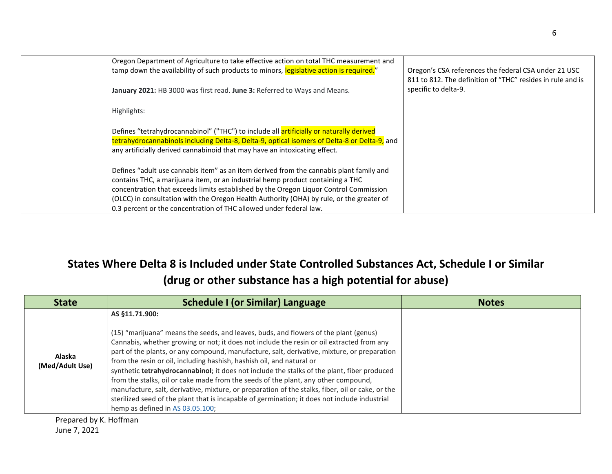| Oregon Department of Agriculture to take effective action on total THC measurement and<br>tamp down the availability of such products to minors, legislative action is required."                                                                                                                                                                                                                                                    | Oregon's CSA references the federal CSA under 21 USC<br>811 to 812. The definition of "THC" resides in rule and is |
|--------------------------------------------------------------------------------------------------------------------------------------------------------------------------------------------------------------------------------------------------------------------------------------------------------------------------------------------------------------------------------------------------------------------------------------|--------------------------------------------------------------------------------------------------------------------|
| January 2021: HB 3000 was first read. June 3: Referred to Ways and Means.                                                                                                                                                                                                                                                                                                                                                            | specific to delta-9.                                                                                               |
| Highlights:                                                                                                                                                                                                                                                                                                                                                                                                                          |                                                                                                                    |
| Defines "tetrahydrocannabinol" ("THC") to include all artificially or naturally derived<br>tetrahydrocannabinols including Delta-8, Delta-9, optical isomers of Delta-8 or Delta-9, and<br>any artificially derived cannabinoid that may have an intoxicating effect.                                                                                                                                                                |                                                                                                                    |
| Defines "adult use cannabis item" as an item derived from the cannabis plant family and<br>contains THC, a marijuana item, or an industrial hemp product containing a THC<br>concentration that exceeds limits established by the Oregon Liquor Control Commission<br>(OLCC) in consultation with the Oregon Health Authority (OHA) by rule, or the greater of<br>0.3 percent or the concentration of THC allowed under federal law. |                                                                                                                    |

## **States Where Delta 8 is Included under State Controlled Substances Act, Schedule I or Similar (drug or other substance has a high potential for abuse)**

| <b>State</b>              | <b>Schedule I (or Similar) Language</b>                                                                                                                                                                                                                                                                                                                                                                                                                                                                                                                                                                                                                                                                                                                                                                   | <b>Notes</b> |
|---------------------------|-----------------------------------------------------------------------------------------------------------------------------------------------------------------------------------------------------------------------------------------------------------------------------------------------------------------------------------------------------------------------------------------------------------------------------------------------------------------------------------------------------------------------------------------------------------------------------------------------------------------------------------------------------------------------------------------------------------------------------------------------------------------------------------------------------------|--------------|
| Alaska<br>(Med/Adult Use) | AS §11.71.900:<br>(15) "marijuana" means the seeds, and leaves, buds, and flowers of the plant (genus)<br>Cannabis, whether growing or not; it does not include the resin or oil extracted from any<br>part of the plants, or any compound, manufacture, salt, derivative, mixture, or preparation<br>from the resin or oil, including hashish, hashish oil, and natural or<br>synthetic tetrahydrocannabinol; it does not include the stalks of the plant, fiber produced<br>from the stalks, oil or cake made from the seeds of the plant, any other compound,<br>manufacture, salt, derivative, mixture, or preparation of the stalks, fiber, oil or cake, or the<br>sterilized seed of the plant that is incapable of germination; it does not include industrial<br>hemp as defined in AS 03.05.100; |              |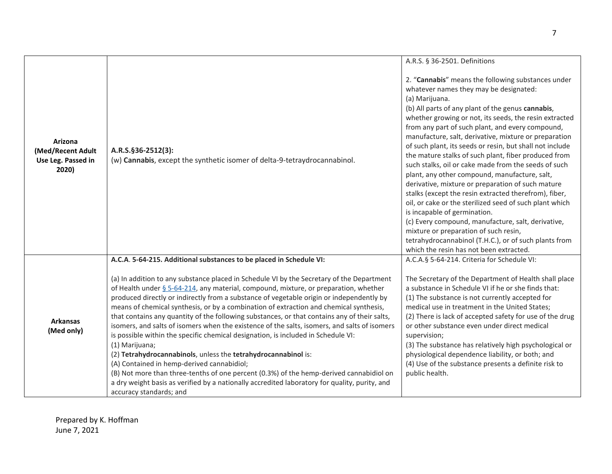|                                                             |                                                                                                                                                                                                                                                                                                                                                                                                                                                                                                                                                                                                                                                                                                                                                                                                                                                                                                                                                                                                                          | A.R.S. § 36-2501. Definitions                                                                                                                                                                                                                                                                                                                                                                                                                                                                                                                                                                                                                                                                                                                                                                                                                                                                                                                                                       |
|-------------------------------------------------------------|--------------------------------------------------------------------------------------------------------------------------------------------------------------------------------------------------------------------------------------------------------------------------------------------------------------------------------------------------------------------------------------------------------------------------------------------------------------------------------------------------------------------------------------------------------------------------------------------------------------------------------------------------------------------------------------------------------------------------------------------------------------------------------------------------------------------------------------------------------------------------------------------------------------------------------------------------------------------------------------------------------------------------|-------------------------------------------------------------------------------------------------------------------------------------------------------------------------------------------------------------------------------------------------------------------------------------------------------------------------------------------------------------------------------------------------------------------------------------------------------------------------------------------------------------------------------------------------------------------------------------------------------------------------------------------------------------------------------------------------------------------------------------------------------------------------------------------------------------------------------------------------------------------------------------------------------------------------------------------------------------------------------------|
| Arizona<br>(Med/Recent Adult<br>Use Leg. Passed in<br>2020) | A.R.S.§36-2512(3):<br>(w) Cannabis, except the synthetic isomer of delta-9-tetraydrocannabinol.                                                                                                                                                                                                                                                                                                                                                                                                                                                                                                                                                                                                                                                                                                                                                                                                                                                                                                                          | 2. "Cannabis" means the following substances under<br>whatever names they may be designated:<br>(a) Marijuana.<br>(b) All parts of any plant of the genus cannabis,<br>whether growing or not, its seeds, the resin extracted<br>from any part of such plant, and every compound,<br>manufacture, salt, derivative, mixture or preparation<br>of such plant, its seeds or resin, but shall not include<br>the mature stalks of such plant, fiber produced from<br>such stalks, oil or cake made from the seeds of such<br>plant, any other compound, manufacture, salt,<br>derivative, mixture or preparation of such mature<br>stalks (except the resin extracted therefrom), fiber,<br>oil, or cake or the sterilized seed of such plant which<br>is incapable of germination.<br>(c) Every compound, manufacture, salt, derivative,<br>mixture or preparation of such resin,<br>tetrahydrocannabinol (T.H.C.), or of such plants from<br>which the resin has not been extracted. |
|                                                             | A.C.A. 5-64-215. Additional substances to be placed in Schedule VI:                                                                                                                                                                                                                                                                                                                                                                                                                                                                                                                                                                                                                                                                                                                                                                                                                                                                                                                                                      | A.C.A.§ 5-64-214. Criteria for Schedule VI:                                                                                                                                                                                                                                                                                                                                                                                                                                                                                                                                                                                                                                                                                                                                                                                                                                                                                                                                         |
| <b>Arkansas</b><br>(Med only)                               | (a) In addition to any substance placed in Schedule VI by the Secretary of the Department<br>of Health under $\S$ 5-64-214, any material, compound, mixture, or preparation, whether<br>produced directly or indirectly from a substance of vegetable origin or independently by<br>means of chemical synthesis, or by a combination of extraction and chemical synthesis,<br>that contains any quantity of the following substances, or that contains any of their salts,<br>isomers, and salts of isomers when the existence of the salts, isomers, and salts of isomers<br>is possible within the specific chemical designation, is included in Schedule VI:<br>(1) Marijuana;<br>(2) Tetrahydrocannabinols, unless the tetrahydrocannabinol is:<br>(A) Contained in hemp-derived cannabidiol;<br>(B) Not more than three-tenths of one percent (0.3%) of the hemp-derived cannabidiol on<br>a dry weight basis as verified by a nationally accredited laboratory for quality, purity, and<br>accuracy standards; and | The Secretary of the Department of Health shall place<br>a substance in Schedule VI if he or she finds that:<br>(1) The substance is not currently accepted for<br>medical use in treatment in the United States;<br>(2) There is lack of accepted safety for use of the drug<br>or other substance even under direct medical<br>supervision;<br>(3) The substance has relatively high psychological or<br>physiological dependence liability, or both; and<br>(4) Use of the substance presents a definite risk to<br>public health.                                                                                                                                                                                                                                                                                                                                                                                                                                               |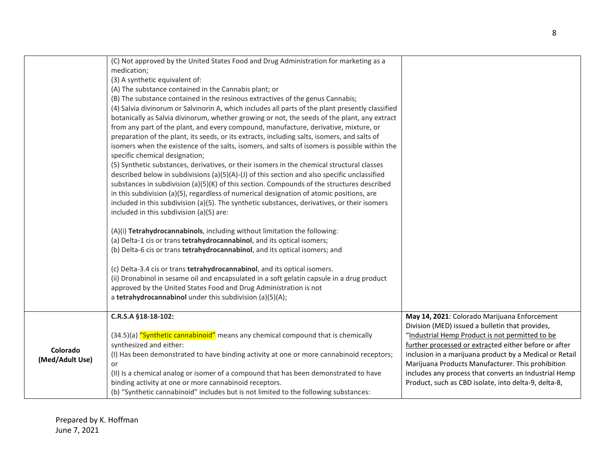| Colorado<br>(Med/Adult Use) | C.R.S.A §18-18-102:<br>(34.5)(a) "Synthetic cannabinoid" means any chemical compound that is chemically<br>synthesized and either:<br>(I) Has been demonstrated to have binding activity at one or more cannabinoid receptors;<br>or<br>(II) Is a chemical analog or isomer of a compound that has been demonstrated to have<br>binding activity at one or more cannabinoid receptors.<br>(b) "Synthetic cannabinoid" includes but is not limited to the following substances:                                                                                                                                                                                                                                                                                                                                                                                                                                                                                                                                                                                                                                                                                                                                                                                                                                                                                                                                                                                                                                                                                                                                                                                                                                                                                                                                                                                                                             | May 14, 2021: Colorado Marijuana Enforcement<br>Division (MED) issued a bulletin that provides,<br>"Industrial Hemp Product is not permitted to be<br>further processed or extracted either before or after<br>inclusion in a marijuana product by a Medical or Retail<br>Marijuana Products Manufacturer. This prohibition<br>includes any process that converts an Industrial Hemp<br>Product, such as CBD isolate, into delta-9, delta-8, |
|-----------------------------|------------------------------------------------------------------------------------------------------------------------------------------------------------------------------------------------------------------------------------------------------------------------------------------------------------------------------------------------------------------------------------------------------------------------------------------------------------------------------------------------------------------------------------------------------------------------------------------------------------------------------------------------------------------------------------------------------------------------------------------------------------------------------------------------------------------------------------------------------------------------------------------------------------------------------------------------------------------------------------------------------------------------------------------------------------------------------------------------------------------------------------------------------------------------------------------------------------------------------------------------------------------------------------------------------------------------------------------------------------------------------------------------------------------------------------------------------------------------------------------------------------------------------------------------------------------------------------------------------------------------------------------------------------------------------------------------------------------------------------------------------------------------------------------------------------------------------------------------------------------------------------------------------------|----------------------------------------------------------------------------------------------------------------------------------------------------------------------------------------------------------------------------------------------------------------------------------------------------------------------------------------------------------------------------------------------------------------------------------------------|
|                             | (C) Not approved by the United States Food and Drug Administration for marketing as a<br>medication;<br>(3) A synthetic equivalent of:<br>(A) The substance contained in the Cannabis plant; or<br>(B) The substance contained in the resinous extractives of the genus Cannabis;<br>(4) Salvia divinorum or Salvinorin A, which includes all parts of the plant presently classified<br>botanically as Salvia divinorum, whether growing or not, the seeds of the plant, any extract<br>from any part of the plant, and every compound, manufacture, derivative, mixture, or<br>preparation of the plant, its seeds, or its extracts, including salts, isomers, and salts of<br>isomers when the existence of the salts, isomers, and salts of isomers is possible within the<br>specific chemical designation;<br>(5) Synthetic substances, derivatives, or their isomers in the chemical structural classes<br>described below in subdivisions (a)(5)(A)-(J) of this section and also specific unclassified<br>substances in subdivision (a) $(5)(K)$ of this section. Compounds of the structures described<br>in this subdivision (a)(5), regardless of numerical designation of atomic positions, are<br>included in this subdivision (a)(5). The synthetic substances, derivatives, or their isomers<br>included in this subdivision (a)(5) are:<br>(A)(i) Tetrahydrocannabinols, including without limitation the following:<br>(a) Delta-1 cis or trans tetrahydrocannabinol, and its optical isomers;<br>(b) Delta-6 cis or trans tetrahydrocannabinol, and its optical isomers; and<br>(c) Delta-3.4 cis or trans tetrahydrocannabinol, and its optical isomers.<br>(ii) Dronabinol in sesame oil and encapsulated in a soft gelatin capsule in a drug product<br>approved by the United States Food and Drug Administration is not<br>a tetrahydrocannabinol under this subdivision (a)(5)(A); |                                                                                                                                                                                                                                                                                                                                                                                                                                              |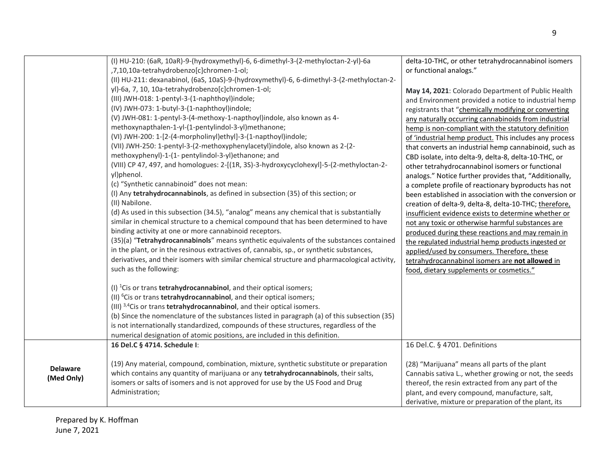|                               | (I) HU-210: (6aR, 10aR)-9-(hydroxymethyl)-6, 6-dimethyl-3-(2-methyloctan-2-yl)-6a<br>,7,10,10a-tetrahydrobenzo[c]chromen-1-ol;<br>(II) HU-211: dexanabinol, (6aS, 10aS)-9-(hydroxymethyl)-6, 6-dimethyl-3-(2-methyloctan-2-<br>yl)-6a, 7, 10, 10a-tetrahydrobenzo[c]chromen-1-ol;<br>(III) JWH-018: 1-pentyl-3-(1-naphthoyl)indole;<br>(IV) JWH-073: 1-butyl-3-(1-naphthoyl)indole;<br>(V) JWH-081: 1-pentyl-3-(4-methoxy-1-napthoyl)indole, also known as 4-<br>methoxynapthalen-1-yl-(1-pentylindol-3-yl)methanone;<br>(VI) JWH-200: 1-[2-(4-morpholinyl)ethyl]-3-(1-napthoyl)indole;<br>(VII) JWH-250: 1-pentyl-3-(2-methoxyphenylacetyl)indole, also known as 2-(2-<br>methoxyphenyl)-1-(1- pentylindol-3-yl)ethanone; and<br>(VIII) CP 47, 497, and homologues: 2-[(1R, 3S)-3-hydroxycyclohexyl]-5-(2-methyloctan-2-<br>yl)phenol.<br>(c) "Synthetic cannabinoid" does not mean:<br>(I) Any tetrahydrocannabinols, as defined in subsection (35) of this section; or<br>(II) Nabilone.<br>(d) As used in this subsection (34.5), "analog" means any chemical that is substantially<br>similar in chemical structure to a chemical compound that has been determined to have<br>binding activity at one or more cannabinoid receptors.<br>(35)(a) "Tetrahydrocannabinols" means synthetic equivalents of the substances contained<br>in the plant, or in the resinous extractives of, cannabis, sp., or synthetic substances,<br>derivatives, and their isomers with similar chemical structure and pharmacological activity,<br>such as the following: | delta-10-THC, or other tetrahydrocannabinol isomers<br>or functional analogs."<br>May 14, 2021: Colorado Department of Public Health<br>and Environment provided a notice to industrial hemp<br>registrants that "chemically modifying or converting<br>any naturally occurring cannabinoids from industrial<br>hemp is non-compliant with the statutory definition<br>of 'industrial hemp product. This includes any process<br>that converts an industrial hemp cannabinoid, such as<br>CBD isolate, into delta-9, delta-8, delta-10-THC, or<br>other tetrahydrocannabinol isomers or functional<br>analogs." Notice further provides that, "Additionally,<br>a complete profile of reactionary byproducts has not<br>been established in association with the conversion or<br>creation of delta-9, delta-8, delta-10-THC; therefore,<br>insufficient evidence exists to determine whether or<br>not any toxic or otherwise harmful substances are<br>produced during these reactions and may remain in<br>the regulated industrial hemp products ingested or<br>applied/used by consumers. Therefore, these<br>tetrahydrocannabinol isomers are not allowed in<br>food, dietary supplements or cosmetics." |
|-------------------------------|-------------------------------------------------------------------------------------------------------------------------------------------------------------------------------------------------------------------------------------------------------------------------------------------------------------------------------------------------------------------------------------------------------------------------------------------------------------------------------------------------------------------------------------------------------------------------------------------------------------------------------------------------------------------------------------------------------------------------------------------------------------------------------------------------------------------------------------------------------------------------------------------------------------------------------------------------------------------------------------------------------------------------------------------------------------------------------------------------------------------------------------------------------------------------------------------------------------------------------------------------------------------------------------------------------------------------------------------------------------------------------------------------------------------------------------------------------------------------------------------------------------------------------------------------------------|----------------------------------------------------------------------------------------------------------------------------------------------------------------------------------------------------------------------------------------------------------------------------------------------------------------------------------------------------------------------------------------------------------------------------------------------------------------------------------------------------------------------------------------------------------------------------------------------------------------------------------------------------------------------------------------------------------------------------------------------------------------------------------------------------------------------------------------------------------------------------------------------------------------------------------------------------------------------------------------------------------------------------------------------------------------------------------------------------------------------------------------------------------------------------------------------------------------|
|                               | (I) ${}^{1}$ Cis or trans <b>tetrahydrocannabinol</b> , and their optical isomers;<br>(II) <sup>6</sup> Cis or trans <b>tetrahydrocannabinol</b> , and their optical isomers;<br>(III) <sup>3,4</sup> Cis or trans <b>tetrahydrocannabinol</b> , and their optical isomers.<br>(b) Since the nomenclature of the substances listed in paragraph (a) of this subsection (35)<br>is not internationally standardized, compounds of these structures, regardless of the<br>numerical designation of atomic positions, are included in this definition.                                                                                                                                                                                                                                                                                                                                                                                                                                                                                                                                                                                                                                                                                                                                                                                                                                                                                                                                                                                                         |                                                                                                                                                                                                                                                                                                                                                                                                                                                                                                                                                                                                                                                                                                                                                                                                                                                                                                                                                                                                                                                                                                                                                                                                                |
| <b>Delaware</b><br>(Med Only) | 16 Del.C § 4714. Schedule I:<br>(19) Any material, compound, combination, mixture, synthetic substitute or preparation<br>which contains any quantity of marijuana or any tetrahydrocannabinols, their salts,<br>isomers or salts of isomers and is not approved for use by the US Food and Drug                                                                                                                                                                                                                                                                                                                                                                                                                                                                                                                                                                                                                                                                                                                                                                                                                                                                                                                                                                                                                                                                                                                                                                                                                                                            | 16 Del.C. § 4701. Definitions<br>(28) "Marijuana" means all parts of the plant<br>Cannabis sativa L., whether growing or not, the seeds<br>thereof, the resin extracted from any part of the                                                                                                                                                                                                                                                                                                                                                                                                                                                                                                                                                                                                                                                                                                                                                                                                                                                                                                                                                                                                                   |
|                               | Administration;                                                                                                                                                                                                                                                                                                                                                                                                                                                                                                                                                                                                                                                                                                                                                                                                                                                                                                                                                                                                                                                                                                                                                                                                                                                                                                                                                                                                                                                                                                                                             | plant, and every compound, manufacture, salt,<br>derivative, mixture or preparation of the plant, its                                                                                                                                                                                                                                                                                                                                                                                                                                                                                                                                                                                                                                                                                                                                                                                                                                                                                                                                                                                                                                                                                                          |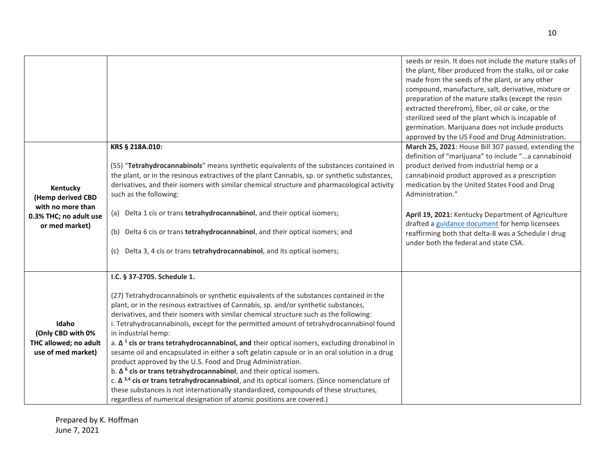|                                             |                                                                                                                                                                                                | seeds or resin. It does not include the mature stalks of<br>the plant, fiber produced from the stalks, oil or cake<br>made from the seeds of the plant, or any other<br>compound, manufacture, salt, derivative, mixture or<br>preparation of the mature stalks (except the resin<br>extracted therefrom), fiber, oil or cake, or the |
|---------------------------------------------|------------------------------------------------------------------------------------------------------------------------------------------------------------------------------------------------|---------------------------------------------------------------------------------------------------------------------------------------------------------------------------------------------------------------------------------------------------------------------------------------------------------------------------------------|
|                                             |                                                                                                                                                                                                | sterilized seed of the plant which is incapable of<br>germination. Marijuana does not include products                                                                                                                                                                                                                                |
|                                             |                                                                                                                                                                                                | approved by the US Food and Drug Administration.                                                                                                                                                                                                                                                                                      |
|                                             | KRS § 218A.010:                                                                                                                                                                                | March 25, 2021: House Bill 307 passed, extending the                                                                                                                                                                                                                                                                                  |
|                                             |                                                                                                                                                                                                | definition of "marijuana" to include "a cannabinoid                                                                                                                                                                                                                                                                                   |
|                                             | (55) "Tetrahydrocannabinols" means synthetic equivalents of the substances contained in                                                                                                        | product derived from industrial hemp or a                                                                                                                                                                                                                                                                                             |
|                                             | the plant, or in the resinous extractives of the plant Cannabis, sp. or synthetic substances,                                                                                                  | cannabinoid product approved as a prescription                                                                                                                                                                                                                                                                                        |
| Kentucky                                    | derivatives, and their isomers with similar chemical structure and pharmacological activity                                                                                                    | medication by the United States Food and Drug                                                                                                                                                                                                                                                                                         |
| (Hemp derived CBD                           | such as the following:                                                                                                                                                                         | Administration."                                                                                                                                                                                                                                                                                                                      |
| with no more than<br>0.3% THC; no adult use | (a) Delta 1 cis or trans tetrahydrocannabinol, and their optical isomers;                                                                                                                      | April 19, 2021: Kentucky Department of Agriculture<br>drafted a guidance document for hemp licensees                                                                                                                                                                                                                                  |
| or med market)                              | (b) Delta 6 cis or trans tetrahydrocannabinol, and their optical isomers; and                                                                                                                  | reaffirming both that delta-8 was a Schedule I drug<br>under both the federal and state CSA.                                                                                                                                                                                                                                          |
|                                             | (c) Delta 3, 4 cis or trans tetrahydrocannabinol, and its optical isomers;                                                                                                                     |                                                                                                                                                                                                                                                                                                                                       |
|                                             | I.C. § 37-2705. Schedule 1.                                                                                                                                                                    |                                                                                                                                                                                                                                                                                                                                       |
|                                             | (27) Tetrahydrocannabinols or synthetic equivalents of the substances contained in the                                                                                                         |                                                                                                                                                                                                                                                                                                                                       |
|                                             | plant, or in the resinous extractives of Cannabis, sp. and/or synthetic substances,                                                                                                            |                                                                                                                                                                                                                                                                                                                                       |
|                                             | derivatives, and their isomers with similar chemical structure such as the following:                                                                                                          |                                                                                                                                                                                                                                                                                                                                       |
| Idaho                                       | i. Tetrahydrocannabinols, except for the permitted amount of tetrahydrocannabinol found                                                                                                        |                                                                                                                                                                                                                                                                                                                                       |
| (Only CBD with 0%                           | in industrial hemp:                                                                                                                                                                            |                                                                                                                                                                                                                                                                                                                                       |
| THC allowed; no adult                       | a. $\Delta$ <sup>1</sup> cis or trans tetrahydrocannabinol, and their optical isomers, excluding dronabinol in                                                                                 |                                                                                                                                                                                                                                                                                                                                       |
| use of med market)                          | sesame oil and encapsulated in either a soft gelatin capsule or in an oral solution in a drug                                                                                                  |                                                                                                                                                                                                                                                                                                                                       |
|                                             | product approved by the U.S. Food and Drug Administration.                                                                                                                                     |                                                                                                                                                                                                                                                                                                                                       |
|                                             | b. $\Delta$ <sup>6</sup> cis or trans tetrahydrocannabinol, and their optical isomers.<br>c. $\Delta^{3,4}$ cis or trans tetrahydrocannabinol, and its optical isomers. (Since nomenclature of |                                                                                                                                                                                                                                                                                                                                       |
|                                             | these substances is not internationally standardized, compounds of these structures,                                                                                                           |                                                                                                                                                                                                                                                                                                                                       |
|                                             | regardless of numerical designation of atomic positions are covered.)                                                                                                                          |                                                                                                                                                                                                                                                                                                                                       |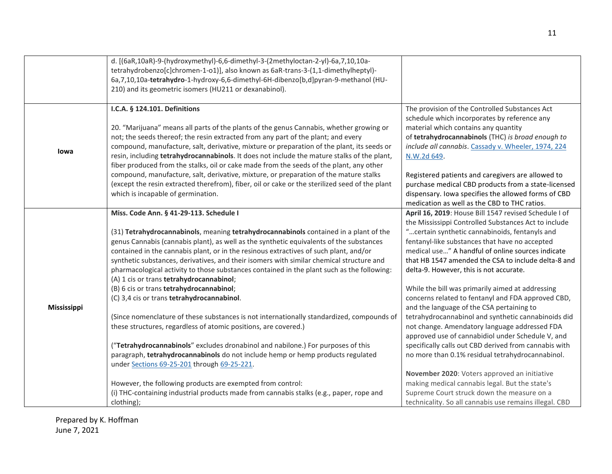|             | d. [(6aR,10aR)-9-(hydroxymethyl)-6,6-dimethyl-3-(2methyloctan-2-yl)-6a,7,10,10a-               |                                                        |
|-------------|------------------------------------------------------------------------------------------------|--------------------------------------------------------|
|             | tetrahydrobenzo[c]chromen-1-o1]], also known as 6aR-trans-3-(1,1-dimethylheptyl)-              |                                                        |
|             | 6a,7,10,10a-tetrahydro-1-hydroxy-6,6-dimethyl-6H-dibenzo[b,d]pyran-9-methanol (HU-             |                                                        |
|             | 210) and its geometric isomers (HU211 or dexanabinol).                                         |                                                        |
|             |                                                                                                |                                                        |
|             | I.C.A. § 124.101. Definitions                                                                  | The provision of the Controlled Substances Act         |
|             |                                                                                                | schedule which incorporates by reference any           |
|             | 20. "Marijuana" means all parts of the plants of the genus Cannabis, whether growing or        | material which contains any quantity                   |
|             | not; the seeds thereof; the resin extracted from any part of the plant; and every              | of tetrahydrocannabinols (THC) is broad enough to      |
|             | compound, manufacture, salt, derivative, mixture or preparation of the plant, its seeds or     | include all cannabis. Cassady v. Wheeler, 1974, 224    |
| lowa        | resin, including tetrahydrocannabinols. It does not include the mature stalks of the plant,    | N.W.2d 649.                                            |
|             | fiber produced from the stalks, oil or cake made from the seeds of the plant, any other        |                                                        |
|             | compound, manufacture, salt, derivative, mixture, or preparation of the mature stalks          | Registered patients and caregivers are allowed to      |
|             | (except the resin extracted therefrom), fiber, oil or cake or the sterilized seed of the plant | purchase medical CBD products from a state-licensed    |
|             | which is incapable of germination.                                                             | dispensary. Iowa specifies the allowed forms of CBD    |
|             |                                                                                                | medication as well as the CBD to THC ratios.           |
|             | Miss. Code Ann. § 41-29-113. Schedule I                                                        | April 16, 2019: House Bill 1547 revised Schedule I of  |
|             |                                                                                                | the Mississippi Controlled Substances Act to include   |
|             | (31) Tetrahydrocannabinols, meaning tetrahydrocannabinols contained in a plant of the          | " certain synthetic cannabinoids, fentanyls and        |
|             | genus Cannabis (cannabis plant), as well as the synthetic equivalents of the substances        | fentanyl-like substances that have no accepted         |
|             | contained in the cannabis plant, or in the resinous extractives of such plant, and/or          | medical use" A handful of online sources indicate      |
|             | synthetic substances, derivatives, and their isomers with similar chemical structure and       | that HB 1547 amended the CSA to include delta-8 and    |
|             | pharmacological activity to those substances contained in the plant such as the following:     | delta-9. However, this is not accurate.                |
|             | (A) 1 cis or trans tetrahydrocannabinol;                                                       |                                                        |
|             | (B) 6 cis or trans tetrahydrocannabinol;                                                       | While the bill was primarily aimed at addressing       |
|             | (C) 3,4 cis or trans tetrahydrocannabinol.                                                     | concerns related to fentanyl and FDA approved CBD,     |
| Mississippi |                                                                                                | and the language of the CSA pertaining to              |
|             | (Since nomenclature of these substances is not internationally standardized, compounds of      | tetrahydrocannabinol and synthetic cannabinoids did    |
|             | these structures, regardless of atomic positions, are covered.)                                | not change. Amendatory language addressed FDA          |
|             |                                                                                                | approved use of cannabidiol under Schedule V, and      |
|             | ("Tetrahydrocannabinols" excludes dronabinol and nabilone.) For purposes of this               | specifically calls out CBD derived from cannabis with  |
|             | paragraph, tetrahydrocannabinols do not include hemp or hemp products regulated                | no more than 0.1% residual tetrahydrocannabinol.       |
|             | under Sections 69-25-201 through 69-25-221.                                                    |                                                        |
|             |                                                                                                | November 2020: Voters approved an initiative           |
|             | However, the following products are exempted from control:                                     | making medical cannabis legal. But the state's         |
|             | (i) THC-containing industrial products made from cannabis stalks (e.g., paper, rope and        | Supreme Court struck down the measure on a             |
|             | clothing);                                                                                     | technicality. So all cannabis use remains illegal. CBD |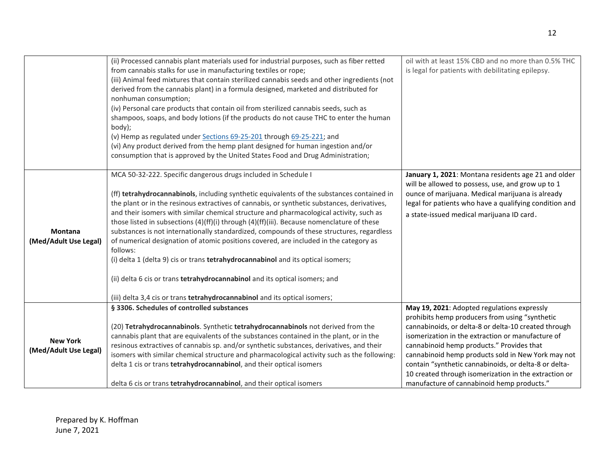|                                          | (ii) Processed cannabis plant materials used for industrial purposes, such as fiber retted<br>from cannabis stalks for use in manufacturing textiles or rope;<br>(iii) Animal feed mixtures that contain sterilized cannabis seeds and other ingredients (not<br>derived from the cannabis plant) in a formula designed, marketed and distributed for<br>nonhuman consumption;<br>(iv) Personal care products that contain oil from sterilized cannabis seeds, such as<br>shampoos, soaps, and body lotions (if the products do not cause THC to enter the human<br>body);<br>(v) Hemp as regulated under Sections 69-25-201 through 69-25-221; and<br>(vi) Any product derived from the hemp plant designed for human ingestion and/or<br>consumption that is approved by the United States Food and Drug Administration;                                                                              | oil with at least 15% CBD and no more than 0.5% THC<br>is legal for patients with debilitating epilepsy.                                                                                                                                                                                                                                                                                                                                                                      |
|------------------------------------------|---------------------------------------------------------------------------------------------------------------------------------------------------------------------------------------------------------------------------------------------------------------------------------------------------------------------------------------------------------------------------------------------------------------------------------------------------------------------------------------------------------------------------------------------------------------------------------------------------------------------------------------------------------------------------------------------------------------------------------------------------------------------------------------------------------------------------------------------------------------------------------------------------------|-------------------------------------------------------------------------------------------------------------------------------------------------------------------------------------------------------------------------------------------------------------------------------------------------------------------------------------------------------------------------------------------------------------------------------------------------------------------------------|
| <b>Montana</b><br>(Med/Adult Use Legal)  | MCA 50-32-222. Specific dangerous drugs included in Schedule I<br>(ff) tetrahydrocannabinols, including synthetic equivalents of the substances contained in<br>the plant or in the resinous extractives of cannabis, or synthetic substances, derivatives,<br>and their isomers with similar chemical structure and pharmacological activity, such as<br>those listed in subsections (4)(ff)(i) through (4)(ff)(iii). Because nomenclature of these<br>substances is not internationally standardized, compounds of these structures, regardless<br>of numerical designation of atomic positions covered, are included in the category as<br>follows:<br>(i) delta 1 (delta 9) cis or trans tetrahydrocannabinol and its optical isomers;<br>(ii) delta 6 cis or trans tetrahydrocannabinol and its optical isomers; and<br>(iii) delta 3,4 cis or trans tetrahydrocannabinol and its optical isomers; | January 1, 2021: Montana residents age 21 and older<br>will be allowed to possess, use, and grow up to 1<br>ounce of marijuana. Medical marijuana is already<br>legal for patients who have a qualifying condition and<br>a state-issued medical marijuana ID card.                                                                                                                                                                                                           |
| <b>New York</b><br>(Med/Adult Use Legal) | § 3306. Schedules of controlled substances<br>(20) Tetrahydrocannabinols. Synthetic tetrahydrocannabinols not derived from the<br>cannabis plant that are equivalents of the substances contained in the plant, or in the<br>resinous extractives of cannabis sp. and/or synthetic substances, derivatives, and their<br>isomers with similar chemical structure and pharmacological activity such as the following:<br>delta 1 cis or trans tetrahydrocannabinol, and their optical isomers<br>delta 6 cis or trans tetrahydrocannabinol, and their optical isomers                                                                                                                                                                                                                                                                                                                                    | May 19, 2021: Adopted regulations expressly<br>prohibits hemp producers from using "synthetic<br>cannabinoids, or delta-8 or delta-10 created through<br>isomerization in the extraction or manufacture of<br>cannabinoid hemp products." Provides that<br>cannabinoid hemp products sold in New York may not<br>contain "synthetic cannabinoids, or delta-8 or delta-<br>10 created through isomerization in the extraction or<br>manufacture of cannabinoid hemp products." |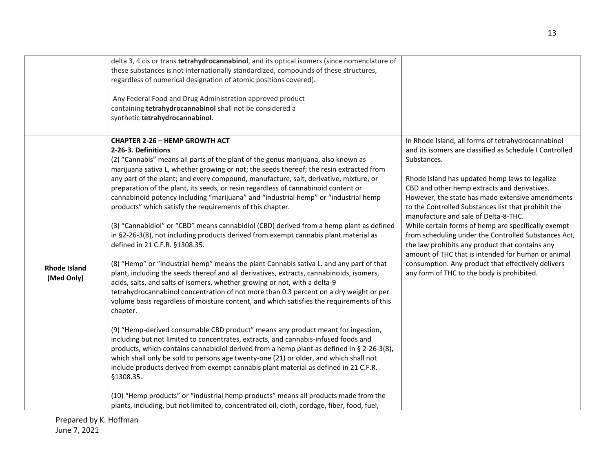|                                   | delta 3, 4 cis or trans tetrahydrocannabinol, and its optical isomers (since nomenclature of<br>these substances is not internationally standardized, compounds of these structures,<br>regardless of numerical designation of atomic positions covered).<br>Any Federal Food and Drug Administration approved product<br>containing tetrahydrocannabinol shall not be considered a<br>synthetic tetrahydrocannabinol.                                                                                                                                                                                                                                                                                                                                                                                                                                                                                                                                                                                                                                                                                                                                                                                                                                                                                                                                                                                                                                                                                                                                                                                                                                                                                                                                                                                                                                                                                                                   |                                                                                                                                                                                                                                                                                                                                                                                                                                                                                                                                                                                                                                                                                                               |
|-----------------------------------|------------------------------------------------------------------------------------------------------------------------------------------------------------------------------------------------------------------------------------------------------------------------------------------------------------------------------------------------------------------------------------------------------------------------------------------------------------------------------------------------------------------------------------------------------------------------------------------------------------------------------------------------------------------------------------------------------------------------------------------------------------------------------------------------------------------------------------------------------------------------------------------------------------------------------------------------------------------------------------------------------------------------------------------------------------------------------------------------------------------------------------------------------------------------------------------------------------------------------------------------------------------------------------------------------------------------------------------------------------------------------------------------------------------------------------------------------------------------------------------------------------------------------------------------------------------------------------------------------------------------------------------------------------------------------------------------------------------------------------------------------------------------------------------------------------------------------------------------------------------------------------------------------------------------------------------|---------------------------------------------------------------------------------------------------------------------------------------------------------------------------------------------------------------------------------------------------------------------------------------------------------------------------------------------------------------------------------------------------------------------------------------------------------------------------------------------------------------------------------------------------------------------------------------------------------------------------------------------------------------------------------------------------------------|
| <b>Rhode Island</b><br>(Med Only) | <b>CHAPTER 2-26 - HEMP GROWTH ACT</b><br>2-26-3. Definitions<br>(2) "Cannabis" means all parts of the plant of the genus marijuana, also known as<br>marijuana sativa L, whether growing or not; the seeds thereof; the resin extracted from<br>any part of the plant; and every compound, manufacture, salt, derivative, mixture, or<br>preparation of the plant, its seeds, or resin regardless of cannabinoid content or<br>cannabinoid potency including "marijuana" and "industrial hemp" or "industrial hemp<br>products" which satisfy the requirements of this chapter.<br>(3) "Cannabidiol" or "CBD" means cannabidiol (CBD) derived from a hemp plant as defined<br>in §2-26-3(8), not including products derived from exempt cannabis plant material as<br>defined in 21 C.F.R. §1308.35.<br>(8) "Hemp" or "industrial hemp" means the plant Cannabis sativa L. and any part of that<br>plant, including the seeds thereof and all derivatives, extracts, cannabinoids, isomers,<br>acids, salts, and salts of isomers, whether growing or not, with a delta-9<br>tetrahydrocannabinol concentration of not more than 0.3 percent on a dry weight or per<br>volume basis regardless of moisture content, and which satisfies the requirements of this<br>chapter.<br>(9) "Hemp-derived consumable CBD product" means any product meant for ingestion,<br>including but not limited to concentrates, extracts, and cannabis-infused foods and<br>products, which contains cannabidiol derived from a hemp plant as defined in § 2-26-3(8),<br>which shall only be sold to persons age twenty-one (21) or older, and which shall not<br>include products derived from exempt cannabis plant material as defined in 21 C.F.R.<br>§1308.35.<br>(10) "Hemp products" or "industrial hemp products" means all products made from the<br>plants, including, but not limited to, concentrated oil, cloth, cordage, fiber, food, fuel, | In Rhode Island, all forms of tetrahydrocannabinol<br>and its isomers are classified as Schedule I Controlled<br>Substances.<br>Rhode Island has updated hemp laws to legalize<br>CBD and other hemp extracts and derivatives.<br>However, the state has made extensive amendments<br>to the Controlled Substances list that prohibit the<br>manufacture and sale of Delta-8-THC.<br>While certain forms of hemp are specifically exempt<br>from scheduling under the Controlled Substances Act,<br>the law prohibits any product that contains any<br>amount of THC that is intended for human or animal<br>consumption. Any product that effectively delivers<br>any form of THC to the body is prohibited. |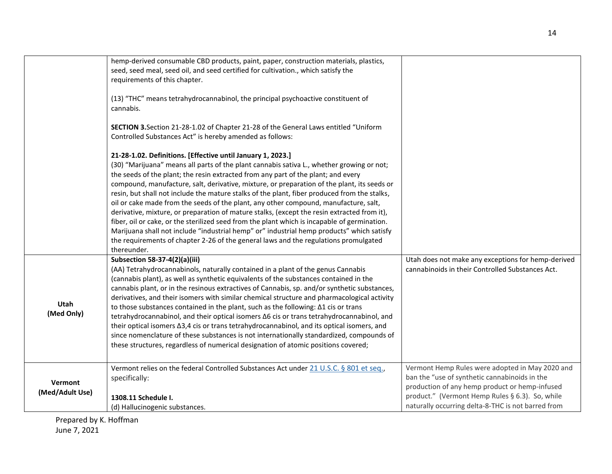|                            | hemp-derived consumable CBD products, paint, paper, construction materials, plastics,<br>seed, seed meal, seed oil, and seed certified for cultivation., which satisfy the<br>requirements of this chapter.<br>(13) "THC" means tetrahydrocannabinol, the principal psychoactive constituent of<br>cannabis.<br>SECTION 3. Section 21-28-1.02 of Chapter 21-28 of the General Laws entitled "Uniform<br>Controlled Substances Act" is hereby amended as follows:<br>21-28-1.02. Definitions. [Effective until January 1, 2023.]<br>(30) "Marijuana" means all parts of the plant cannabis sativa L., whether growing or not;<br>the seeds of the plant; the resin extracted from any part of the plant; and every<br>compound, manufacture, salt, derivative, mixture, or preparation of the plant, its seeds or<br>resin, but shall not include the mature stalks of the plant, fiber produced from the stalks, |                                                                                                                                                                                                                                                             |
|----------------------------|------------------------------------------------------------------------------------------------------------------------------------------------------------------------------------------------------------------------------------------------------------------------------------------------------------------------------------------------------------------------------------------------------------------------------------------------------------------------------------------------------------------------------------------------------------------------------------------------------------------------------------------------------------------------------------------------------------------------------------------------------------------------------------------------------------------------------------------------------------------------------------------------------------------|-------------------------------------------------------------------------------------------------------------------------------------------------------------------------------------------------------------------------------------------------------------|
|                            | oil or cake made from the seeds of the plant, any other compound, manufacture, salt,<br>derivative, mixture, or preparation of mature stalks, (except the resin extracted from it),<br>fiber, oil or cake, or the sterilized seed from the plant which is incapable of germination.<br>Marijuana shall not include "industrial hemp" or" industrial hemp products" which satisfy<br>the requirements of chapter 2-26 of the general laws and the regulations promulgated<br>thereunder.                                                                                                                                                                                                                                                                                                                                                                                                                          |                                                                                                                                                                                                                                                             |
| <b>Utah</b><br>(Med Only)  | Subsection 58-37-4(2)(a)(iii)<br>(AA) Tetrahydrocannabinols, naturally contained in a plant of the genus Cannabis<br>(cannabis plant), as well as synthetic equivalents of the substances contained in the<br>cannabis plant, or in the resinous extractives of Cannabis, sp. and/or synthetic substances,<br>derivatives, and their isomers with similar chemical structure and pharmacological activity<br>to those substances contained in the plant, such as the following: $\Delta 1$ cis or trans<br>tetrahydrocannabinol, and their optical isomers $\Delta 6$ cis or trans tetrahydrocannabinol, and<br>their optical isomers $\Delta 3, 4$ cis or trans tetrahydrocannabinol, and its optical isomers, and<br>since nomenclature of these substances is not internationally standardized, compounds of<br>these structures, regardless of numerical designation of atomic positions covered;            | Utah does not make any exceptions for hemp-derived<br>cannabinoids in their Controlled Substances Act.                                                                                                                                                      |
| Vermont<br>(Med/Adult Use) | Vermont relies on the federal Controlled Substances Act under 21 U.S.C. § 801 et seq.,<br>specifically:<br>1308.11 Schedule I.<br>(d) Hallucinogenic substances.                                                                                                                                                                                                                                                                                                                                                                                                                                                                                                                                                                                                                                                                                                                                                 | Vermont Hemp Rules were adopted in May 2020 and<br>ban the "use of synthetic cannabinoids in the<br>production of any hemp product or hemp-infused<br>product." (Vermont Hemp Rules § 6.3). So, while<br>naturally occurring delta-8-THC is not barred from |